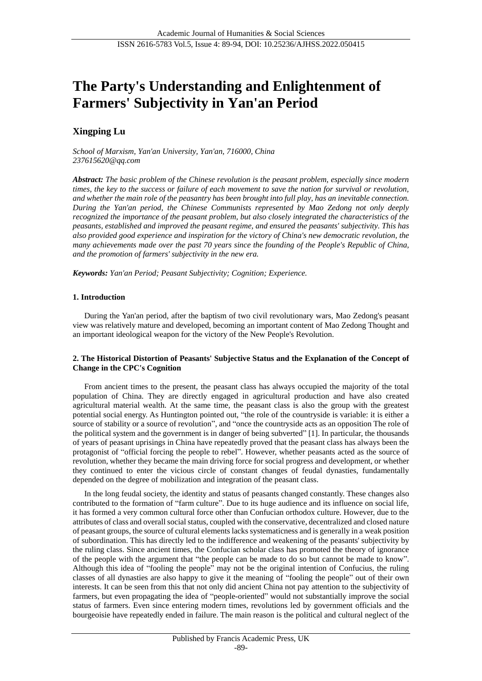# **The Party's Understanding and Enlightenment of Farmers' Subjectivity in Yan'an Period**

# **Xingping Lu**

*School of Marxism, Yan'an University, Yan'an, 716000, China 237615620@qq.com*

*Abstract: The basic problem of the Chinese revolution is the peasant problem, especially since modern times, the key to the success or failure of each movement to save the nation for survival or revolution, and whether the main role of the peasantry has been brought into full play, has an inevitable connection. During the Yan'an period, the Chinese Communists represented by Mao Zedong not only deeply recognized the importance of the peasant problem, but also closely integrated the characteristics of the peasants, established and improved the peasant regime, and ensured the peasants' subjectivity. This has also provided good experience and inspiration for the victory of China's new democratic revolution, the many achievements made over the past 70 years since the founding of the People's Republic of China, and the promotion of farmers' subjectivity in the new era.*

*Keywords: Yan'an Period; Peasant Subjectivity; Cognition; Experience.*

#### **1. Introduction**

During the Yan'an period, after the baptism of two civil revolutionary wars, Mao Zedong's peasant view was relatively mature and developed, becoming an important content of Mao Zedong Thought and an important ideological weapon for the victory of the New People's Revolution.

## **2. The Historical Distortion of Peasants' Subjective Status and the Explanation of the Concept of Change in the CPC's Cognition**

From ancient times to the present, the peasant class has always occupied the majority of the total population of China. They are directly engaged in agricultural production and have also created agricultural material wealth. At the same time, the peasant class is also the group with the greatest potential social energy. As Huntington pointed out, "the role of the countryside is variable: it is either a source of stability or a source of revolution", and "once the countryside acts as an opposition The role of the political system and the government is in danger of being subverted" [1]. In particular, the thousands of years of peasant uprisings in China have repeatedly proved that the peasant class has always been the protagonist of "official forcing the people to rebel". However, whether peasants acted as the source of revolution, whether they became the main driving force for social progress and development, or whether they continued to enter the vicious circle of constant changes of feudal dynasties, fundamentally depended on the degree of mobilization and integration of the peasant class.

In the long feudal society, the identity and status of peasants changed constantly. These changes also contributed to the formation of "farm culture". Due to its huge audience and its influence on social life, it has formed a very common cultural force other than Confucian orthodox culture. However, due to the attributes of class and overall social status, coupled with the conservative, decentralized and closed nature of peasant groups, the source of cultural elements lacks systematicness and is generally in a weak position of subordination. This has directly led to the indifference and weakening of the peasants' subjectivity by the ruling class. Since ancient times, the Confucian scholar class has promoted the theory of ignorance of the people with the argument that "the people can be made to do so but cannot be made to know". Although this idea of "fooling the people" may not be the original intention of Confucius, the ruling classes of all dynasties are also happy to give it the meaning of "fooling the people" out of their own interests. It can be seen from this that not only did ancient China not pay attention to the subjectivity of farmers, but even propagating the idea of "people-oriented" would not substantially improve the social status of farmers. Even since entering modern times, revolutions led by government officials and the bourgeoisie have repeatedly ended in failure. The main reason is the political and cultural neglect of the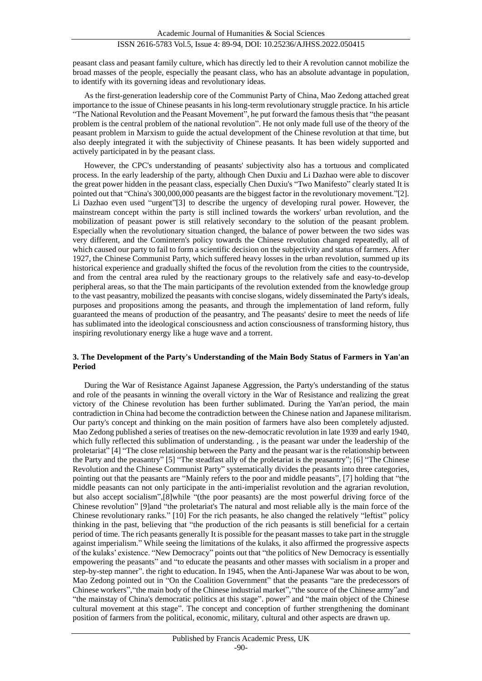peasant class and peasant family culture, which has directly led to their A revolution cannot mobilize the broad masses of the people, especially the peasant class, who has an absolute advantage in population, to identify with its governing ideas and revolutionary ideas.

As the first-generation leadership core of the Communist Party of China, Mao Zedong attached great importance to the issue of Chinese peasants in his long-term revolutionary struggle practice. In his article "The National Revolution and the Peasant Movement", he put forward the famous thesis that "the peasant problem is the central problem of the national revolution". He not only made full use of the theory of the peasant problem in Marxism to guide the actual development of the Chinese revolution at that time, but also deeply integrated it with the subjectivity of Chinese peasants. It has been widely supported and actively participated in by the peasant class.

However, the CPC's understanding of peasants' subjectivity also has a tortuous and complicated process. In the early leadership of the party, although Chen Duxiu and Li Dazhao were able to discover the great power hidden in the peasant class, especially Chen Duxiu's "Two Manifesto" clearly stated It is pointed out that "China's 300,000,000 peasants are the biggest factor in the revolutionary movement."[2]. Li Dazhao even used "urgent"[3] to describe the urgency of developing rural power. However, the mainstream concept within the party is still inclined towards the workers' urban revolution, and the mobilization of peasant power is still relatively secondary to the solution of the peasant problem. Especially when the revolutionary situation changed, the balance of power between the two sides was very different, and the Comintern's policy towards the Chinese revolution changed repeatedly, all of which caused our party to fail to form a scientific decision on the subjectivity and status of farmers. After 1927, the Chinese Communist Party, which suffered heavy losses in the urban revolution, summed up its historical experience and gradually shifted the focus of the revolution from the cities to the countryside, and from the central area ruled by the reactionary groups to the relatively safe and easy-to-develop peripheral areas, so that the The main participants of the revolution extended from the knowledge group to the vast peasantry, mobilized the peasants with concise slogans, widely disseminated the Party's ideals, purposes and propositions among the peasants, and through the implementation of land reform, fully guaranteed the means of production of the peasantry, and The peasants' desire to meet the needs of life has sublimated into the ideological consciousness and action consciousness of transforming history, thus inspiring revolutionary energy like a huge wave and a torrent.

## **3. The Development of the Party's Understanding of the Main Body Status of Farmers in Yan'an Period**

During the War of Resistance Against Japanese Aggression, the Party's understanding of the status and role of the peasants in winning the overall victory in the War of Resistance and realizing the great victory of the Chinese revolution has been further sublimated. During the Yan'an period, the main contradiction in China had become the contradiction between the Chinese nation and Japanese militarism. Our party's concept and thinking on the main position of farmers have also been completely adjusted. Mao Zedong published a series of treatises on the new-democratic revolution in late 1939 and early 1940, which fully reflected this sublimation of understanding. , is the peasant war under the leadership of the proletariat" [4] "The close relationship between the Party and the peasant war is the relationship between the Party and the peasantry" [5] "The steadfast ally of the proletariat is the peasantry"; [6] "The Chinese Revolution and the Chinese Communist Party" systematically divides the peasants into three categories, pointing out that the peasants are "Mainly refers to the poor and middle peasants", [7] holding that "the middle peasants can not only participate in the anti-imperialist revolution and the agrarian revolution, but also accept socialism",[8]while "(the poor peasants) are the most powerful driving force of the Chinese revolution" [9]and "the proletariat's The natural and most reliable ally is the main force of the Chinese revolutionary ranks." [10] For the rich peasants, he also changed the relatively "leftist" policy thinking in the past, believing that "the production of the rich peasants is still beneficial for a certain period of time. The rich peasants generally It is possible for the peasant masses to take part in the struggle against imperialism." While seeing the limitations of the kulaks, it also affirmed the progressive aspects of the kulaks' existence. "New Democracy" points out that "the politics of New Democracy is essentially empowering the peasants" and "to educate the peasants and other masses with socialism in a proper and step-by-step manner". the right to education. In 1945, when the Anti-Japanese War was about to be won, Mao Zedong pointed out in "On the Coalition Government" that the peasants "are the predecessors of Chinese workers","the main body of the Chinese industrial market","the source of the Chinese army"and "the mainstay of China's democratic politics at this stage". power" and "the main object of the Chinese cultural movement at this stage". The concept and conception of further strengthening the dominant position of farmers from the political, economic, military, cultural and other aspects are drawn up.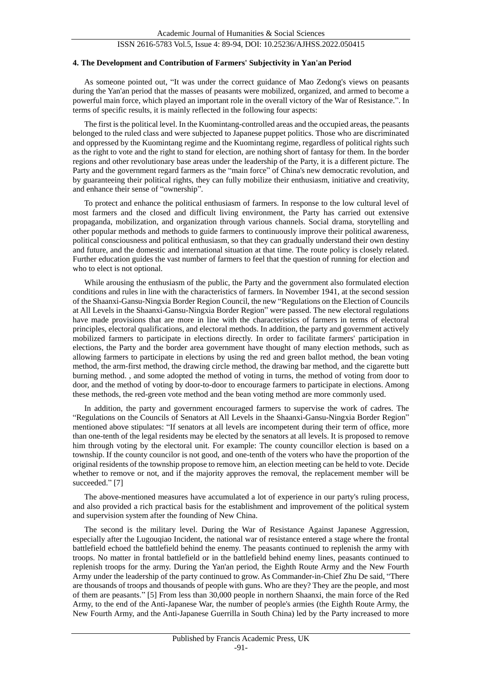#### **4. The Development and Contribution of Farmers' Subjectivity in Yan'an Period**

As someone pointed out, "It was under the correct guidance of Mao Zedong's views on peasants during the Yan'an period that the masses of peasants were mobilized, organized, and armed to become a powerful main force, which played an important role in the overall victory of the War of Resistance.". In terms of specific results, it is mainly reflected in the following four aspects:

The first is the political level. In the Kuomintang-controlled areas and the occupied areas, the peasants belonged to the ruled class and were subjected to Japanese puppet politics. Those who are discriminated and oppressed by the Kuomintang regime and the Kuomintang regime, regardless of political rights such as the right to vote and the right to stand for election, are nothing short of fantasy for them. In the border regions and other revolutionary base areas under the leadership of the Party, it is a different picture. The Party and the government regard farmers as the "main force" of China's new democratic revolution, and by guaranteeing their political rights, they can fully mobilize their enthusiasm, initiative and creativity, and enhance their sense of "ownership".

To protect and enhance the political enthusiasm of farmers. In response to the low cultural level of most farmers and the closed and difficult living environment, the Party has carried out extensive propaganda, mobilization, and organization through various channels. Social drama, storytelling and other popular methods and methods to guide farmers to continuously improve their political awareness, political consciousness and political enthusiasm, so that they can gradually understand their own destiny and future, and the domestic and international situation at that time. The route policy is closely related. Further education guides the vast number of farmers to feel that the question of running for election and who to elect is not optional.

While arousing the enthusiasm of the public, the Party and the government also formulated election conditions and rules in line with the characteristics of farmers. In November 1941, at the second session of the Shaanxi-Gansu-Ningxia Border Region Council, the new "Regulations on the Election of Councils at All Levels in the Shaanxi-Gansu-Ningxia Border Region" were passed. The new electoral regulations have made provisions that are more in line with the characteristics of farmers in terms of electoral principles, electoral qualifications, and electoral methods. In addition, the party and government actively mobilized farmers to participate in elections directly. In order to facilitate farmers' participation in elections, the Party and the border area government have thought of many election methods, such as allowing farmers to participate in elections by using the red and green ballot method, the bean voting method, the arm-first method, the drawing circle method, the drawing bar method, and the cigarette butt burning method. , and some adopted the method of voting in turns, the method of voting from door to door, and the method of voting by door-to-door to encourage farmers to participate in elections. Among these methods, the red-green vote method and the bean voting method are more commonly used.

In addition, the party and government encouraged farmers to supervise the work of cadres. The "Regulations on the Councils of Senators at All Levels in the Shaanxi-Gansu-Ningxia Border Region" mentioned above stipulates: "If senators at all levels are incompetent during their term of office, more than one-tenth of the legal residents may be elected by the senators at all levels. It is proposed to remove him through voting by the electoral unit. For example: The county councillor election is based on a township. If the county councilor is not good, and one-tenth of the voters who have the proportion of the original residents of the township propose to remove him, an election meeting can be held to vote. Decide whether to remove or not, and if the majority approves the removal, the replacement member will be succeeded." [7]

The above-mentioned measures have accumulated a lot of experience in our party's ruling process, and also provided a rich practical basis for the establishment and improvement of the political system and supervision system after the founding of New China.

The second is the military level. During the War of Resistance Against Japanese Aggression, especially after the Lugouqiao Incident, the national war of resistance entered a stage where the frontal battlefield echoed the battlefield behind the enemy. The peasants continued to replenish the army with troops. No matter in frontal battlefield or in the battlefield behind enemy lines, peasants continued to replenish troops for the army. During the Yan'an period, the Eighth Route Army and the New Fourth Army under the leadership of the party continued to grow. As Commander-in-Chief Zhu De said, "There are thousands of troops and thousands of people with guns. Who are they? They are the people, and most of them are peasants." [5] From less than 30,000 people in northern Shaanxi, the main force of the Red Army, to the end of the Anti-Japanese War, the number of people's armies (the Eighth Route Army, the New Fourth Army, and the Anti-Japanese Guerrilla in South China) led by the Party increased to more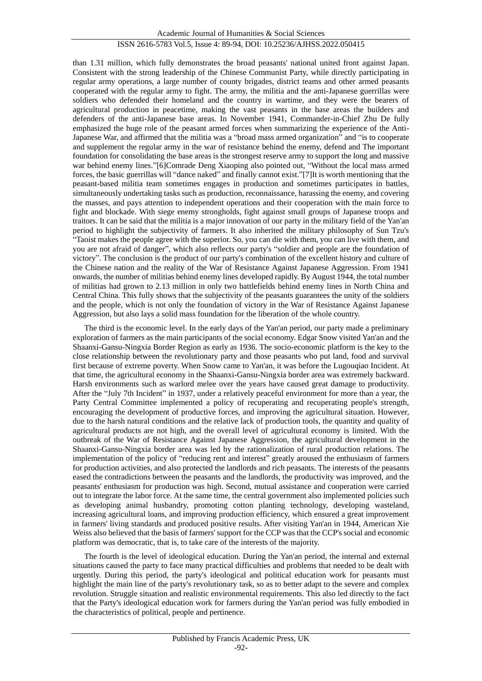than 1.31 million, which fully demonstrates the broad peasants' national united front against Japan. Consistent with the strong leadership of the Chinese Communist Party, while directly participating in regular army operations, a large number of county brigades, district teams and other armed peasants cooperated with the regular army to fight. The army, the militia and the anti-Japanese guerrillas were soldiers who defended their homeland and the country in wartime, and they were the bearers of agricultural production in peacetime, making the vast peasants in the base areas the builders and defenders of the anti-Japanese base areas. In November 1941, Commander-in-Chief Zhu De fully emphasized the huge role of the peasant armed forces when summarizing the experience of the Anti-Japanese War, and affirmed that the militia was a "broad mass armed organization" and "is to cooperate and supplement the regular army in the war of resistance behind the enemy, defend and The important foundation for consolidating the base areas is the strongest reserve army to support the long and massive war behind enemy lines."[6]Comrade Deng Xiaoping also pointed out, "Without the local mass armed forces, the basic guerrillas will "dance naked" and finally cannot exist."[7]It is worth mentioning that the peasant-based militia team sometimes engages in production and sometimes participates in battles, simultaneously undertaking tasks such as production, reconnaissance, harassing the enemy, and covering the masses, and pays attention to independent operations and their cooperation with the main force to fight and blockade. With siege enemy strongholds, fight against small groups of Japanese troops and traitors. It can be said that the militia is a major innovation of our party in the military field of the Yan'an period to highlight the subjectivity of farmers. It also inherited the military philosophy of Sun Tzu's "Taoist makes the people agree with the superior. So, you can die with them, you can live with them, and you are not afraid of danger", which also reflects our party's "soldier and people are the foundation of victory". The conclusion is the product of our party's combination of the excellent history and culture of the Chinese nation and the reality of the War of Resistance Against Japanese Aggression. From 1941 onwards, the number of militias behind enemy lines developed rapidly. By August 1944, the total number of militias had grown to 2.13 million in only two battlefields behind enemy lines in North China and Central China. This fully shows that the subjectivity of the peasants guarantees the unity of the soldiers and the people, which is not only the foundation of victory in the War of Resistance Against Japanese Aggression, but also lays a solid mass foundation for the liberation of the whole country.

The third is the economic level. In the early days of the Yan'an period, our party made a preliminary exploration of farmers as the main participants of the social economy. Edgar Snow visited Yan'an and the Shaanxi-Gansu-Ningxia Border Region as early as 1936. The socio-economic platform is the key to the close relationship between the revolutionary party and those peasants who put land, food and survival first because of extreme poverty. When Snow came to Yan'an, it was before the Lugouqiao Incident. At that time, the agricultural economy in the Shaanxi-Gansu-Ningxia border area was extremely backward. Harsh environments such as warlord melee over the years have caused great damage to productivity. After the "July 7th Incident" in 1937, under a relatively peaceful environment for more than a year, the Party Central Committee implemented a policy of recuperating and recuperating people's strength, encouraging the development of productive forces, and improving the agricultural situation. However, due to the harsh natural conditions and the relative lack of production tools, the quantity and quality of agricultural products are not high, and the overall level of agricultural economy is limited. With the outbreak of the War of Resistance Against Japanese Aggression, the agricultural development in the Shaanxi-Gansu-Ningxia border area was led by the rationalization of rural production relations. The implementation of the policy of "reducing rent and interest" greatly aroused the enthusiasm of farmers for production activities, and also protected the landlords and rich peasants. The interests of the peasants eased the contradictions between the peasants and the landlords, the productivity was improved, and the peasants' enthusiasm for production was high. Second, mutual assistance and cooperation were carried out to integrate the labor force. At the same time, the central government also implemented policies such as developing animal husbandry, promoting cotton planting technology, developing wasteland, increasing agricultural loans, and improving production efficiency, which ensured a great improvement in farmers' living standards and produced positive results. After visiting Yan'an in 1944, American Xie Weiss also believed that the basis of farmers' support for the CCP was that the CCP's social and economic platform was democratic, that is, to take care of the interests of the majority.

The fourth is the level of ideological education. During the Yan'an period, the internal and external situations caused the party to face many practical difficulties and problems that needed to be dealt with urgently. During this period, the party's ideological and political education work for peasants must highlight the main line of the party's revolutionary task, so as to better adapt to the severe and complex revolution. Struggle situation and realistic environmental requirements. This also led directly to the fact that the Party's ideological education work for farmers during the Yan'an period was fully embodied in the characteristics of political, people and pertinence.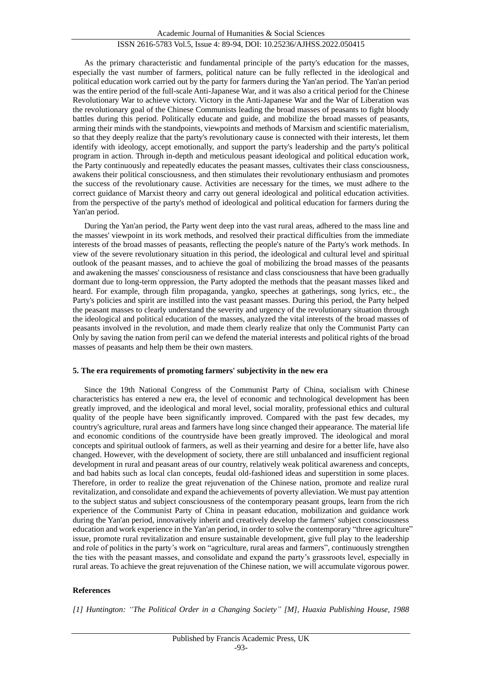As the primary characteristic and fundamental principle of the party's education for the masses, especially the vast number of farmers, political nature can be fully reflected in the ideological and political education work carried out by the party for farmers during the Yan'an period. The Yan'an period was the entire period of the full-scale Anti-Japanese War, and it was also a critical period for the Chinese Revolutionary War to achieve victory. Victory in the Anti-Japanese War and the War of Liberation was the revolutionary goal of the Chinese Communists leading the broad masses of peasants to fight bloody battles during this period. Politically educate and guide, and mobilize the broad masses of peasants, arming their minds with the standpoints, viewpoints and methods of Marxism and scientific materialism, so that they deeply realize that the party's revolutionary cause is connected with their interests, let them identify with ideology, accept emotionally, and support the party's leadership and the party's political program in action. Through in-depth and meticulous peasant ideological and political education work, the Party continuously and repeatedly educates the peasant masses, cultivates their class consciousness, awakens their political consciousness, and then stimulates their revolutionary enthusiasm and promotes the success of the revolutionary cause. Activities are necessary for the times, we must adhere to the correct guidance of Marxist theory and carry out general ideological and political education activities. from the perspective of the party's method of ideological and political education for farmers during the Yan'an period.

During the Yan'an period, the Party went deep into the vast rural areas, adhered to the mass line and the masses' viewpoint in its work methods, and resolved their practical difficulties from the immediate interests of the broad masses of peasants, reflecting the people's nature of the Party's work methods. In view of the severe revolutionary situation in this period, the ideological and cultural level and spiritual outlook of the peasant masses, and to achieve the goal of mobilizing the broad masses of the peasants and awakening the masses' consciousness of resistance and class consciousness that have been gradually dormant due to long-term oppression, the Party adopted the methods that the peasant masses liked and heard. For example, through film propaganda, yangko, speeches at gatherings, song lyrics, etc., the Party's policies and spirit are instilled into the vast peasant masses. During this period, the Party helped the peasant masses to clearly understand the severity and urgency of the revolutionary situation through the ideological and political education of the masses, analyzed the vital interests of the broad masses of peasants involved in the revolution, and made them clearly realize that only the Communist Party can Only by saving the nation from peril can we defend the material interests and political rights of the broad masses of peasants and help them be their own masters.

#### **5. The era requirements of promoting farmers' subjectivity in the new era**

Since the 19th National Congress of the Communist Party of China, socialism with Chinese characteristics has entered a new era, the level of economic and technological development has been greatly improved, and the ideological and moral level, social morality, professional ethics and cultural quality of the people have been significantly improved. Compared with the past few decades, my country's agriculture, rural areas and farmers have long since changed their appearance. The material life and economic conditions of the countryside have been greatly improved. The ideological and moral concepts and spiritual outlook of farmers, as well as their yearning and desire for a better life, have also changed. However, with the development of society, there are still unbalanced and insufficient regional development in rural and peasant areas of our country, relatively weak political awareness and concepts, and bad habits such as local clan concepts, feudal old-fashioned ideas and superstition in some places. Therefore, in order to realize the great rejuvenation of the Chinese nation, promote and realize rural revitalization, and consolidate and expand the achievements of poverty alleviation. We must pay attention to the subject status and subject consciousness of the contemporary peasant groups, learn from the rich experience of the Communist Party of China in peasant education, mobilization and guidance work during the Yan'an period, innovatively inherit and creatively develop the farmers' subject consciousness education and work experience in the Yan'an period, in order to solve the contemporary "three agriculture" issue, promote rural revitalization and ensure sustainable development, give full play to the leadership and role of politics in the party's work on "agriculture, rural areas and farmers", continuously strengthen the ties with the peasant masses, and consolidate and expand the party's grassroots level, especially in rural areas. To achieve the great rejuvenation of the Chinese nation, we will accumulate vigorous power.

#### **References**

*[1] Huntington: "The Political Order in a Changing Society" [M], Huaxia Publishing House, 1988*